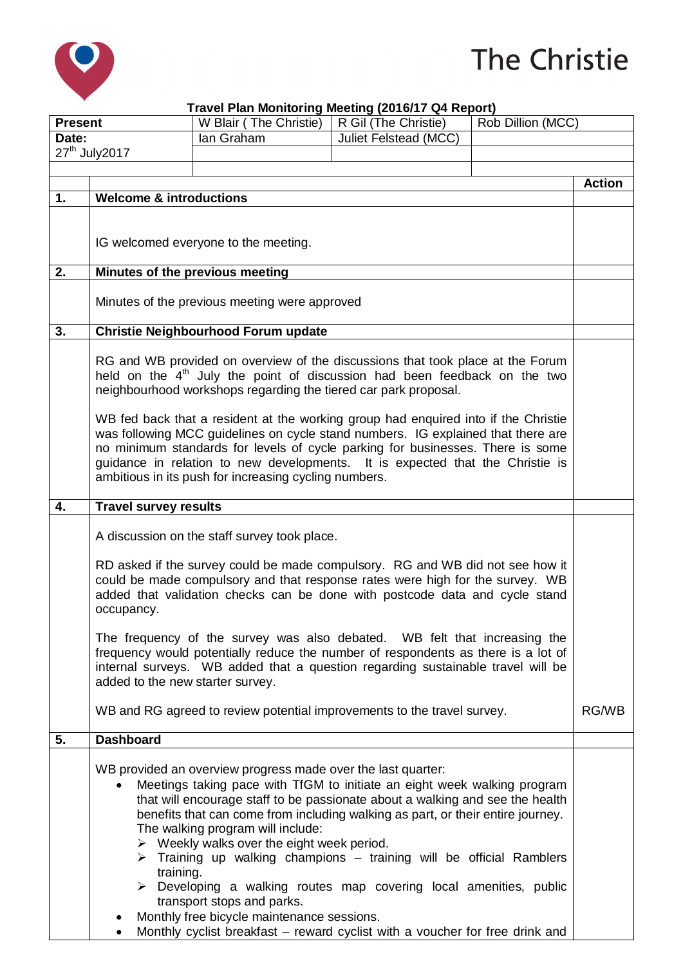

## The Christie

## **Travel Plan Monitoring Meeting (2016/17 Q4 Report)**

| <b>Present</b>             |                                                                                                                                                                                                                                                                                                                                                                                                    | W Blair (The Christie)                                                                                                                                                                                                                                                                                                                                                                                                                                                                                                                                                                                                                                                                                                                                 | $1.411$ montoning modeling $(20.011)$ and $(20.01)$<br>R Gil (The Christie) | Rob Dillion (MCC) |               |
|----------------------------|----------------------------------------------------------------------------------------------------------------------------------------------------------------------------------------------------------------------------------------------------------------------------------------------------------------------------------------------------------------------------------------------------|--------------------------------------------------------------------------------------------------------------------------------------------------------------------------------------------------------------------------------------------------------------------------------------------------------------------------------------------------------------------------------------------------------------------------------------------------------------------------------------------------------------------------------------------------------------------------------------------------------------------------------------------------------------------------------------------------------------------------------------------------------|-----------------------------------------------------------------------------|-------------------|---------------|
| Date:                      |                                                                                                                                                                                                                                                                                                                                                                                                    | lan Graham                                                                                                                                                                                                                                                                                                                                                                                                                                                                                                                                                                                                                                                                                                                                             | Juliet Felstead (MCC)                                                       |                   |               |
| 27 <sup>th</sup> July 2017 |                                                                                                                                                                                                                                                                                                                                                                                                    |                                                                                                                                                                                                                                                                                                                                                                                                                                                                                                                                                                                                                                                                                                                                                        |                                                                             |                   |               |
|                            |                                                                                                                                                                                                                                                                                                                                                                                                    |                                                                                                                                                                                                                                                                                                                                                                                                                                                                                                                                                                                                                                                                                                                                                        |                                                                             |                   |               |
|                            |                                                                                                                                                                                                                                                                                                                                                                                                    |                                                                                                                                                                                                                                                                                                                                                                                                                                                                                                                                                                                                                                                                                                                                                        |                                                                             |                   | <b>Action</b> |
| 1.                         | <b>Welcome &amp; introductions</b>                                                                                                                                                                                                                                                                                                                                                                 |                                                                                                                                                                                                                                                                                                                                                                                                                                                                                                                                                                                                                                                                                                                                                        |                                                                             |                   |               |
|                            | IG welcomed everyone to the meeting.                                                                                                                                                                                                                                                                                                                                                               |                                                                                                                                                                                                                                                                                                                                                                                                                                                                                                                                                                                                                                                                                                                                                        |                                                                             |                   |               |
| 2.                         | Minutes of the previous meeting                                                                                                                                                                                                                                                                                                                                                                    |                                                                                                                                                                                                                                                                                                                                                                                                                                                                                                                                                                                                                                                                                                                                                        |                                                                             |                   |               |
|                            | Minutes of the previous meeting were approved                                                                                                                                                                                                                                                                                                                                                      |                                                                                                                                                                                                                                                                                                                                                                                                                                                                                                                                                                                                                                                                                                                                                        |                                                                             |                   |               |
| 3.                         | Christie Neighbourhood Forum update                                                                                                                                                                                                                                                                                                                                                                |                                                                                                                                                                                                                                                                                                                                                                                                                                                                                                                                                                                                                                                                                                                                                        |                                                                             |                   |               |
|                            | RG and WB provided on overview of the discussions that took place at the Forum<br>held on the $4th$ July the point of discussion had been feedback on the two<br>neighbourhood workshops regarding the tiered car park proposal.                                                                                                                                                                   |                                                                                                                                                                                                                                                                                                                                                                                                                                                                                                                                                                                                                                                                                                                                                        |                                                                             |                   |               |
|                            | WB fed back that a resident at the working group had enquired into if the Christie<br>was following MCC guidelines on cycle stand numbers. IG explained that there are<br>no minimum standards for levels of cycle parking for businesses. There is some<br>guidance in relation to new developments. It is expected that the Christie is<br>ambitious in its push for increasing cycling numbers. |                                                                                                                                                                                                                                                                                                                                                                                                                                                                                                                                                                                                                                                                                                                                                        |                                                                             |                   |               |
| 4.                         | <b>Travel survey results</b>                                                                                                                                                                                                                                                                                                                                                                       |                                                                                                                                                                                                                                                                                                                                                                                                                                                                                                                                                                                                                                                                                                                                                        |                                                                             |                   |               |
|                            | A discussion on the staff survey took place.                                                                                                                                                                                                                                                                                                                                                       |                                                                                                                                                                                                                                                                                                                                                                                                                                                                                                                                                                                                                                                                                                                                                        |                                                                             |                   |               |
|                            | RD asked if the survey could be made compulsory. RG and WB did not see how it<br>could be made compulsory and that response rates were high for the survey. WB<br>added that validation checks can be done with postcode data and cycle stand<br>occupancy.                                                                                                                                        |                                                                                                                                                                                                                                                                                                                                                                                                                                                                                                                                                                                                                                                                                                                                                        |                                                                             |                   |               |
|                            | The frequency of the survey was also debated. WB felt that increasing the<br>frequency would potentially reduce the number of respondents as there is a lot of<br>internal surveys. WB added that a question regarding sustainable travel will be<br>added to the new starter survey.                                                                                                              |                                                                                                                                                                                                                                                                                                                                                                                                                                                                                                                                                                                                                                                                                                                                                        |                                                                             |                   |               |
|                            |                                                                                                                                                                                                                                                                                                                                                                                                    | WB and RG agreed to review potential improvements to the travel survey.                                                                                                                                                                                                                                                                                                                                                                                                                                                                                                                                                                                                                                                                                |                                                                             |                   | RG/WB         |
| 5.                         | <b>Dashboard</b>                                                                                                                                                                                                                                                                                                                                                                                   |                                                                                                                                                                                                                                                                                                                                                                                                                                                                                                                                                                                                                                                                                                                                                        |                                                                             |                   |               |
|                            | training.                                                                                                                                                                                                                                                                                                                                                                                          | WB provided an overview progress made over the last quarter:<br>Meetings taking pace with TfGM to initiate an eight week walking program<br>that will encourage staff to be passionate about a walking and see the health<br>benefits that can come from including walking as part, or their entire journey.<br>The walking program will include:<br>$\triangleright$ Weekly walks over the eight week period.<br>$\triangleright$ Training up walking champions – training will be official Ramblers<br>$\triangleright$ Developing a walking routes map covering local amenities, public<br>transport stops and parks.<br>Monthly free bicycle maintenance sessions.<br>Monthly cyclist breakfast - reward cyclist with a voucher for free drink and |                                                                             |                   |               |